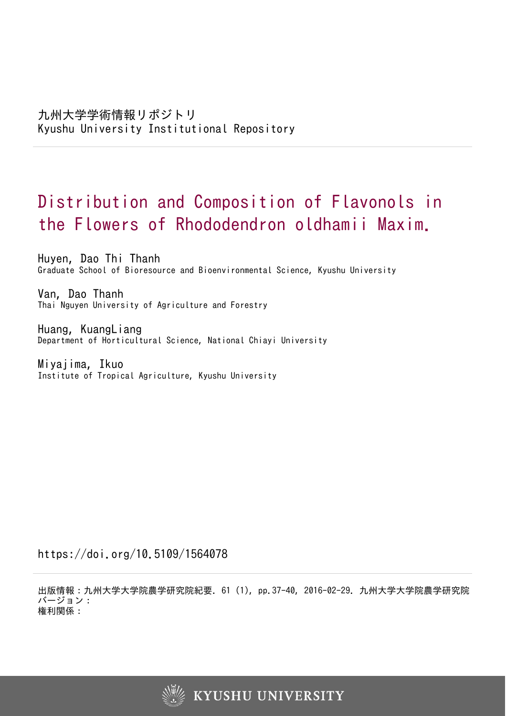# Distribution and Composition of Flavonols in the Flowers of Rhododendron oldhamii Maxim.

Huyen, Dao Thi Thanh Graduate School of Bioresource and Bioenvironmental Science, Kyushu University

Van, Dao Thanh Thai Nguyen University of Agriculture and Forestry

Huang, KuangLiang Department of Horticultural Science, National Chiayi University

Miyajima, Ikuo Institute of Tropical Agriculture, Kyushu University

https://doi.org/10.5109/1564078

出版情報:九州大学大学院農学研究院紀要. 61 (1), pp.37-40, 2016-02-29. 九州大学大学院農学研究院 バージョン: 権利関係:

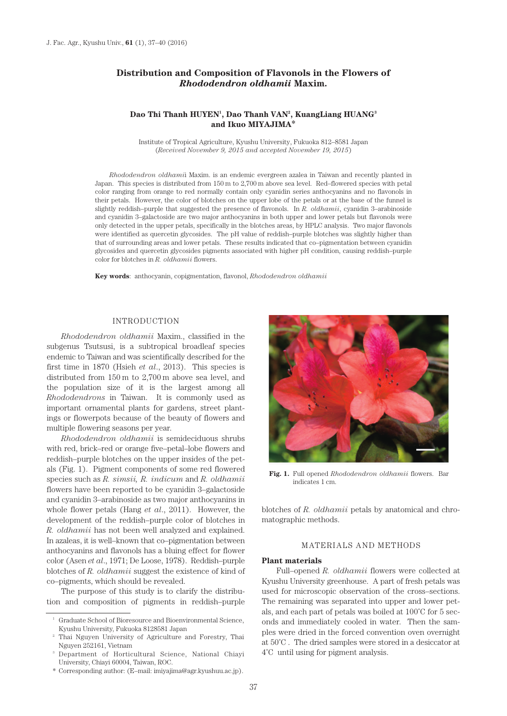# **Distribution and Composition of Flavonols in the Flowers of**  *Rhododendron oldhamii* **Maxim.**

# **Dao Thi Thanh HUYEN1 , Dao Thanh VAN2 , KuangLiang HUANG3 and Ikuo MIYAJIMA\***

Institute of Tropical Agriculture, Kyushu University, Fukuoka 812–8581 Japan (*Received November 9, 2015 and accepted November 19, 2015*)

*Rhododendron oldhami*i Maxim. is an endemic evergreen azalea in Taiwan and recently planted in Japan. This species is distributed from 150 m to 2,700 m above sea level. Red–flowered species with petal color ranging from orange to red normally contain only cyanidin series anthocyanins and no flavonols in their petals. However, the color of blotches on the upper lobe of the petals or at the base of the funnel is slightly reddish–purple that suggested the presence of flavonols. In *R. oldhamii*, cyanidin 3–arabinoside and cyanidin 3–galactoside are two major anthocyanins in both upper and lower petals but flavonols were only detected in the upper petals, specifically in the blotches areas, by HPLC analysis. Two major flavonols were identified as quercetin glycosides. The pH value of reddish–purple blotches was slightly higher than that of surrounding areas and lower petals. These results indicated that co–pigmentation between cyanidin glycosides and quercetin glycosides pigments associated with higher pH condition, causing reddish–purple color for blotches in *R. oldhamii* flowers.

**Key words**: anthocyanin, copigmentation, flavonol, *Rhododendron oldhamii*

## INTRODUCTION

*Rhododendron oldhamii* Maxim., classified in the subgenus Tsutsusi, is a subtropical broadleaf species endemic to Taiwan and was scientifically described for the first time in 1870 (Hsieh *et al*., 2013). This species is distributed from 150 m to 2,700 m above sea level, and the population size of it is the largest among all *Rhododendrons* in Taiwan. It is commonly used as important ornamental plants for gardens, street plantings or flowerpots because of the beauty of flowers and multiple flowering seasons per year.

*Rhododendron oldhamii* is semideciduous shrubs with red, brick–red or orange five–petal–lobe flowers and reddish–purple blotches on the upper insides of the petals (Fig. 1). Pigment components of some red flowered species such as *R. simsii, R. indicum* and *R. oldhamii* flowers have been reported to be cyanidin 3–galactoside and cyanidin 3–arabinoside as two major anthocyanins in whole flower petals (Hang *et al*., 2011). However, the development of the reddish–purple color of blotches in *R. oldhamii* has not been well analyzed and explained. In azaleas, it is well–known that co–pigmentation between anthocyanins and flavonols has a bluing effect for flower color (Asen *et al*., 1971; De Loose, 1978). Reddish–purple blotches of *R. oldhamii* suggest the existence of kind of co–pigments, which should be revealed.

The purpose of this study is to clarify the distribution and composition of pigments in reddish–purple



**Fig. 1.** Full opened *Rhododendron oldhamii* flowers. Bar indicates 1 cm.

blotches of *R. oldhamii* petals by anatomical and chromatographic methods.

# MATERIALS AND METHODS

### **Plant materials**

Full–opened *R. oldhamii* flowers were collected at Kyushu University greenhouse. A part of fresh petals was used for microscopic observation of the cross–sections. The remaining was separated into upper and lower petals, and each part of petals was boiled at 100˚C for 5 seconds and immediately cooled in water. Then the samples were dried in the forced convention oven overnight at 50˚C . The dried samples were stored in a desiccator at 4˚C until using for pigment analysis.

<sup>1</sup> Graduate School of Bioresource and Bioenvironmental Science, Kyushu University, Fukuoka 8128581 Japan

<sup>&</sup>lt;sup>2</sup> Thai Nguyen University of Agriculture and Forestry, Thai Nguyen 252161, Vietnam

<sup>3</sup> Department of Horticultural Science, National Chiayi University, Chiayi 60004, Taiwan, ROC.

<sup>\*</sup> Corresponding author: (E–mail: imiyajima@agr.kyushuu.ac.jp).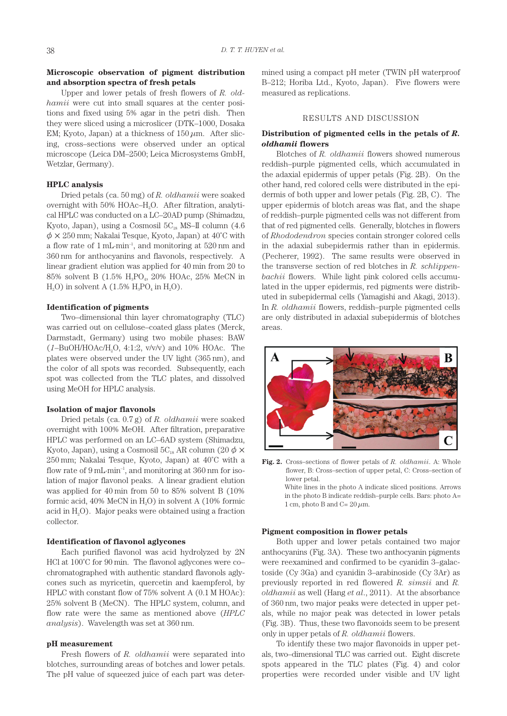# **Microscopic observation of pigment distribution and absorption spectra of fresh petals**

Upper and lower petals of fresh flowers of *R. oldhamii* were cut into small squares at the center positions and fixed using 5% agar in the petri dish. Then they were sliced using a microslicer (DTK–1000, Dosaka EM; Kyoto, Japan) at a thickness of  $150 \,\mu$ m. After slicing, cross–sections were observed under an optical microscope (Leica DM–2500; Leica Microsystems GmbH, Wetzlar, Germany).

## **HPLC analysis**

Dried petals (ca. 50 mg) of *R. oldhamii* were soaked overnight with 50% HOAc–H<sub>2</sub>O. After filtration, analytical HPLC was conducted on a LC–20AD pump (Shimadzu, Kyoto, Japan), using a Cosmosil  $5C_{18}$  MS–II column (4.6)  $\phi \times 250$  mm; Nakalai Tesque, Kyoto, Japan) at 40°C with a flow rate of 1 mL·min–1, and monitoring at 520 nm and 360 nm for anthocyanins and flavonols, respectively. A linear gradient elution was applied for 40 min from 20 to 85% solvent B (1.5% H<sub>2</sub>PO<sub>4</sub>, 20% HOAc, 25% MeCN in  $H<sub>2</sub>O$ ) in solvent A (1.5%  $H<sub>3</sub>PO<sub>4</sub>$  in  $H<sub>2</sub>O$ ).

#### **Identification of pigments**

Two–dimensional thin layer chromatography (TLC) was carried out on cellulose–coated glass plates (Merck, Darmstadt, Germany) using two mobile phases: BAW  $(1-\text{BuOH/HOAc/H}_2O, 4:1:2, v/v/v)$  and 10% HOAc. The plates were observed under the UV light (365 nm), and the color of all spots was recorded. Subsequently, each spot was collected from the TLC plates, and dissolved using MeOH for HPLC analysis.

### **Isolation of major flavonols**

Dried petals (ca. 0.7 g) of *R. oldhamii* were soaked overnight with 100% MeOH. After filtration, preparative HPLC was performed on an LC–6AD system (Shimadzu, Kyoto, Japan), using a Cosmosil  $5C_{18}$  AR column (20  $\phi \times$ 250 mm; Nakalai Tesque, Kyoto, Japan) at 40˚C with a flow rate of  $9 \text{ mL-min}^{-1}$ , and monitoring at  $360 \text{ nm}$  for isolation of major flavonol peaks. A linear gradient elution was applied for 40 min from 50 to 85% solvent B (10% formic acid,  $40\%$  MeCN in H<sub>2</sub>O) in solvent A  $(10\%$  formic acid in H2O). Major peaks were obtained using a fraction collector.

#### **Identification of flavonol aglycones**

Each purified flavonol was acid hydrolyzed by 2N HCl at  $100^{\circ}$ C for 90 min. The flavonol aglycones were co– chromatographed with authentic standard flavonols aglycones such as myricetin, quercetin and kaempferol, by HPLC with constant flow of 75% solvent A (0.1 M HOAc): 25% solvent B (MeCN). The HPLC system, column, and flow rate were the same as mentioned above (*HPLC analysis*). Wavelength was set at 360 nm.

#### **pH measurement**

Fresh flowers of *R. oldhamii* were separated into blotches, surrounding areas of botches and lower petals. The pH value of squeezed juice of each part was determined using a compact pH meter (TWIN pH waterproof B–212; Horiba Ltd., Kyoto, Japan). Five flowers were measured as replications.

#### RESULTS AND DISCUSSION

# **Distribution of pigmented cells in the petals of** *R. oldhamii* **flowers**

Blotches of *R. oldhamii* flowers showed numerous reddish–purple pigmented cells, which accumulated in the adaxial epidermis of upper petals (Fig. 2B). On the other hand, red colored cells were distributed in the epidermis of both upper and lower petals (Fig. 2B, C). The upper epidermis of blotch areas was flat, and the shape of reddish–purple pigmented cells was not different from that of red pigmented cells. Generally, blotches in flowers of *Rhododendron* species contain stronger colored cells in the adaxial subepidermis rather than in epidermis. (Pecherer, 1992). The same results were observed in the transverse section of red blotches in *R. schlippenbachii* flowers. While light pink colored cells accumulated in the upper epidermis, red pigments were distributed in subepidermal cells (Yamagishi and Akagi, 2013). In *R. oldhamii* flowers, reddish–purple pigmented cells are only distributed in adaxial subepidermis of blotches areas.



**Fig. 2.** Cross–sections of flower petals of *R. oldhamii*. A: Whole flower, B: Cross–section of upper petal, C: Cross–section of lower petal. White lines in the photo A indicate sliced positions. Arrows in the photo B indicate reddish–purple cells. Bars: photo A=

#### **Pigment composition in flower petals**

1 cm, photo B and  $C = 20 \mu m$ .

Both upper and lower petals contained two major anthocyanins (Fig. 3A). These two anthocyanin pigments were reexamined and confirmed to be cyanidin 3–galactoside (Cy 3Ga) and cyanidin 3–arabinoside (Cy 3Ar) as previously reported in red flowered *R. simsii* and *R. oldhamii* as well (Hang *et al*., 2011). At the absorbance of 360 nm, two major peaks were detected in upper petals, while no major peak was detected in lower petals (Fig. 3B). Thus, these two flavonoids seem to be present only in upper petals of *R. oldhamii* flowers.

To identify these two major flavonoids in upper petals, two–dimensional TLC was carried out. Eight discrete spots appeared in the TLC plates (Fig. 4) and color properties were recorded under visible and UV light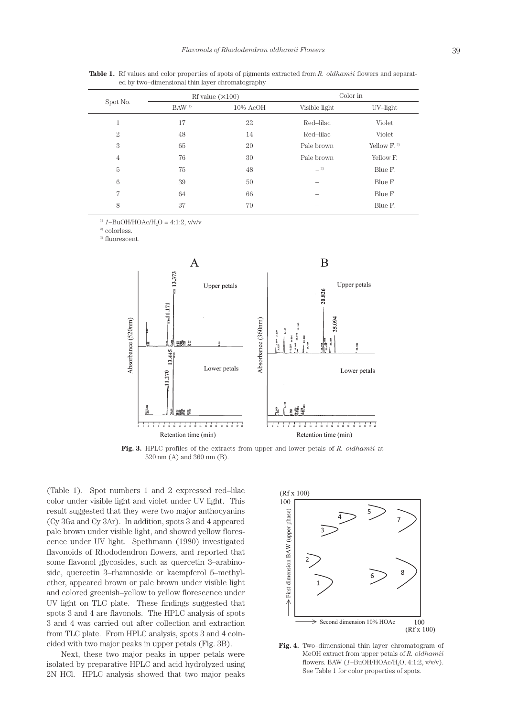| Spot No.       | Rf value $(\times 100)$ |             | Color in      |             |
|----------------|-------------------------|-------------|---------------|-------------|
|                | BAW <sup>1</sup>        | $10\%$ AcOH | Visible light | UV-light    |
| 1              | 17                      | 22          | Red-lilac     | Violet      |
| $\overline{2}$ | 48                      | 14          | Red-lilac     | Violet      |
| 3              | 65                      | 20          | Pale brown    | Yellow $F3$ |
| $\overline{4}$ | 76                      | 30          | Pale brown    | Yellow F.   |
| 5              | 75                      | 48          | $-2$          | Blue F.     |
| 6              | 39                      | 50          |               | Blue F.     |
| 7              | 64                      | 66          |               | Blue F.     |
| 8              | 37                      | 70          | -             | Blue F.     |

**Table 1.** Rf values and color properties of spots of pigments extracted from *R. oldhamii* flowers and separated by two–dimensional thin layer chromatography

<sup>1)</sup>  $1-\text{BuOH/HOAc/H}_{2}$  = 4:1:2, v/v/v

<sup>2)</sup> colorless.

3) fluorescent.



**Fig. 3.** HPLC profiles of the extracts from upper and lower petals of *R. oldhamii* at 520 nm (A) and 360 nm (B).

(Table 1). Spot numbers 1 and 2 expressed red–lilac color under visible light and violet under UV light. This result suggested that they were two major anthocyanins (Cy 3Ga and Cy 3Ar). In addition, spots 3 and 4 appeared pale brown under visible light, and showed yellow florescence under UV light. Spethmann (1980) investigated flavonoids of Rhododendron flowers, and reported that some flavonol glycosides, such as quercetin 3–arabinoside, quercetin 3–rhamnoside or kaempferol 5–methylether, appeared brown or pale brown under visible light and colored greenish–yellow to yellow florescence under UV light on TLC plate. These findings suggested that spots 3 and 4 are flavonols. The HPLC analysis of spots 3 and 4 was carried out after collection and extraction from TLC plate. From HPLC analysis, spots 3 and 4 coincided with two major peaks in upper petals (Fig. 3B).

Next, these two major peaks in upper petals were isolated by preparative HPLC and acid hydrolyzed using 2N HCl. HPLC analysis showed that two major peaks



**Fig. 4.** Two–dimensional thin layer chromatogram of MeOH extract from upper petals of *R. oldhamii*  flowers. BAW (*1*–BuOH/HOAc/H2O, 4:1:2, v/v/v). See Table 1 for color properties of spots.